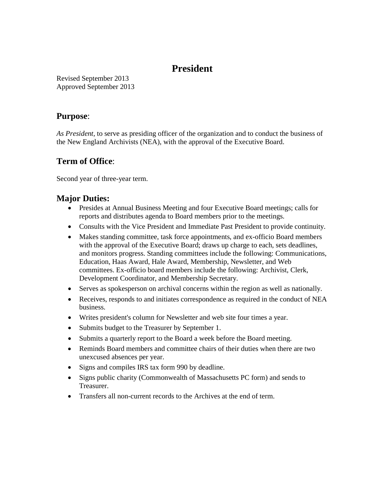# **President**

Revised September 2013 Approved September 2013

### **Purpose**:

*As President,* to serve as presiding officer of the organization and to conduct the business of the New England Archivists (NEA), with the approval of the Executive Board.

## **Term of Office**:

Second year of three-year term.

## **Major Duties:**

- Presides at Annual Business Meeting and four Executive Board meetings; calls for reports and distributes agenda to Board members prior to the meetings.
- Consults with the Vice President and Immediate Past President to provide continuity.
- Makes standing committee, task force appointments, and ex-officio Board members with the approval of the Executive Board; draws up charge to each, sets deadlines, and monitors progress. Standing committees include the following: Communications, Education, Haas Award, Hale Award, Membership, Newsletter, and Web committees. Ex-officio board members include the following: Archivist, Clerk, Development Coordinator, and Membership Secretary.
- Serves as spokesperson on archival concerns within the region as well as nationally.
- Receives, responds to and initiates correspondence as required in the conduct of NEA business.
- Writes president's column for Newsletter and web site four times a year.
- Submits budget to the Treasurer by September 1.
- Submits a quarterly report to the Board a week before the Board meeting.
- Reminds Board members and committee chairs of their duties when there are two unexcused absences per year.
- Signs and compiles IRS tax form 990 by deadline.
- Signs public charity (Commonwealth of Massachusetts PC form) and sends to Treasurer.
- Transfers all non-current records to the Archives at the end of term.